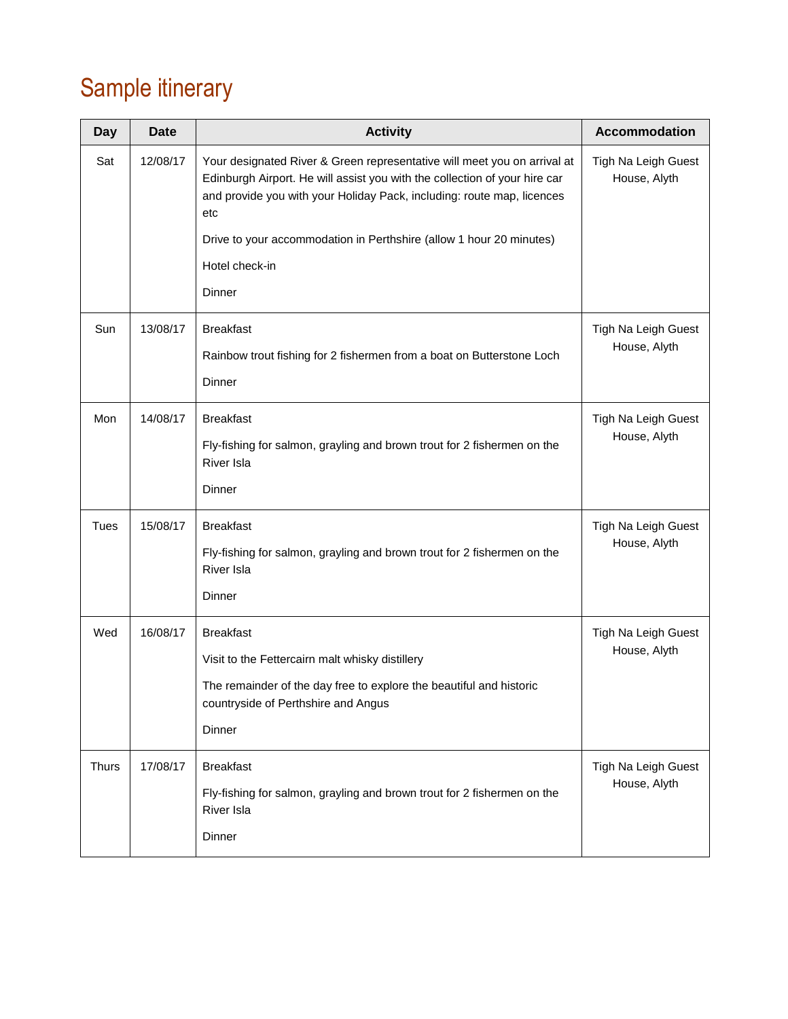# Sample itinerary

| <b>Date</b> | <b>Activity</b>                                                                                                                                                                                                                         | <b>Accommodation</b>                |
|-------------|-----------------------------------------------------------------------------------------------------------------------------------------------------------------------------------------------------------------------------------------|-------------------------------------|
| 12/08/17    | Your designated River & Green representative will meet you on arrival at<br>Edinburgh Airport. He will assist you with the collection of your hire car<br>and provide you with your Holiday Pack, including: route map, licences<br>etc | Tigh Na Leigh Guest<br>House, Alyth |
|             | Drive to your accommodation in Perthshire (allow 1 hour 20 minutes)                                                                                                                                                                     |                                     |
|             | Hotel check-in                                                                                                                                                                                                                          |                                     |
|             | Dinner                                                                                                                                                                                                                                  |                                     |
| 13/08/17    | <b>Breakfast</b>                                                                                                                                                                                                                        | Tigh Na Leigh Guest                 |
|             | Rainbow trout fishing for 2 fishermen from a boat on Butterstone Loch                                                                                                                                                                   | House, Alyth                        |
|             | Dinner                                                                                                                                                                                                                                  |                                     |
| 14/08/17    | <b>Breakfast</b>                                                                                                                                                                                                                        | Tigh Na Leigh Guest                 |
|             | Fly-fishing for salmon, grayling and brown trout for 2 fishermen on the<br>River Isla                                                                                                                                                   | House, Alyth                        |
|             | Dinner                                                                                                                                                                                                                                  |                                     |
| 15/08/17    | <b>Breakfast</b>                                                                                                                                                                                                                        | Tigh Na Leigh Guest                 |
|             | Fly-fishing for salmon, grayling and brown trout for 2 fishermen on the<br><b>River Isla</b>                                                                                                                                            | House, Alyth                        |
|             | Dinner                                                                                                                                                                                                                                  |                                     |
| 16/08/17    | <b>Breakfast</b>                                                                                                                                                                                                                        | Tigh Na Leigh Guest                 |
|             | Visit to the Fettercairn malt whisky distillery                                                                                                                                                                                         | House, Alyth                        |
|             | The remainder of the day free to explore the beautiful and historic<br>countryside of Perthshire and Angus                                                                                                                              |                                     |
|             | Dinner                                                                                                                                                                                                                                  |                                     |
| 17/08/17    | <b>Breakfast</b>                                                                                                                                                                                                                        | Tigh Na Leigh Guest                 |
|             | Fly-fishing for salmon, grayling and brown trout for 2 fishermen on the<br><b>River Isla</b>                                                                                                                                            | House, Alyth                        |
|             | Dinner                                                                                                                                                                                                                                  |                                     |
|             |                                                                                                                                                                                                                                         |                                     |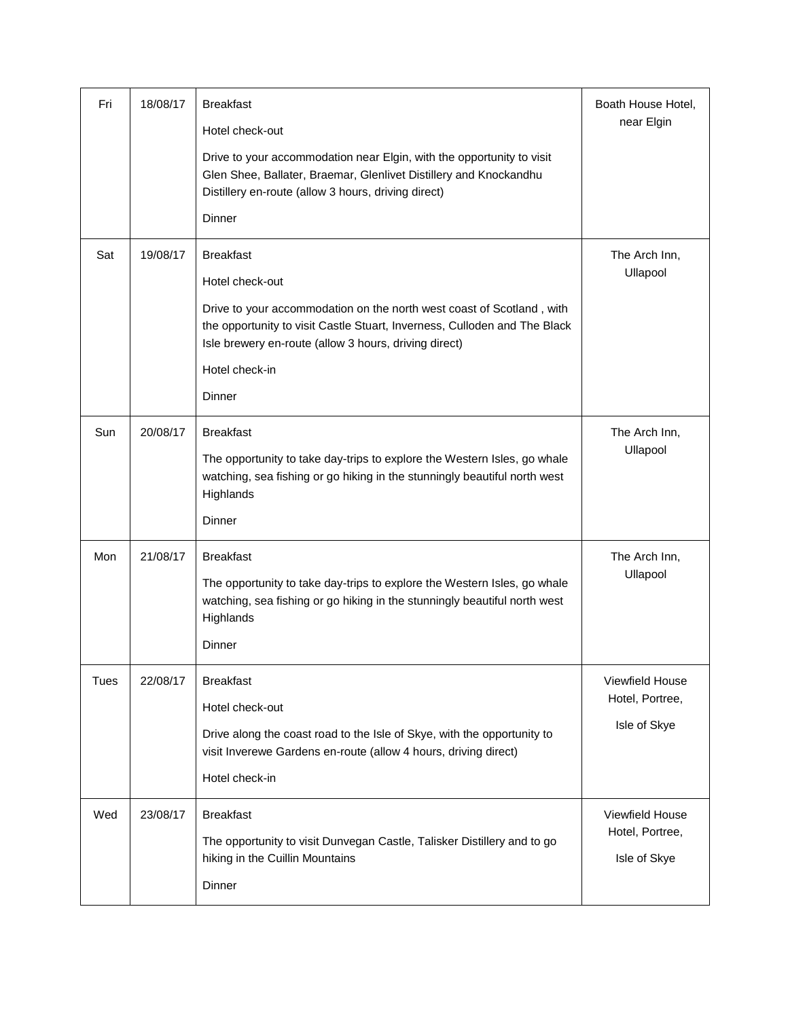| Fri  | 18/08/17 | <b>Breakfast</b>                                                                                                                                                                                            | Boath House Hotel, |
|------|----------|-------------------------------------------------------------------------------------------------------------------------------------------------------------------------------------------------------------|--------------------|
|      |          | Hotel check-out                                                                                                                                                                                             | near Elgin         |
|      |          | Drive to your accommodation near Elgin, with the opportunity to visit<br>Glen Shee, Ballater, Braemar, Glenlivet Distillery and Knockandhu<br>Distillery en-route (allow 3 hours, driving direct)           |                    |
|      |          | Dinner                                                                                                                                                                                                      |                    |
| Sat  | 19/08/17 | <b>Breakfast</b>                                                                                                                                                                                            | The Arch Inn,      |
|      |          | Hotel check-out                                                                                                                                                                                             | Ullapool           |
|      |          | Drive to your accommodation on the north west coast of Scotland, with<br>the opportunity to visit Castle Stuart, Inverness, Culloden and The Black<br>Isle brewery en-route (allow 3 hours, driving direct) |                    |
|      |          | Hotel check-in                                                                                                                                                                                              |                    |
|      |          | Dinner                                                                                                                                                                                                      |                    |
| Sun  | 20/08/17 | <b>Breakfast</b>                                                                                                                                                                                            | The Arch Inn,      |
|      |          | The opportunity to take day-trips to explore the Western Isles, go whale<br>watching, sea fishing or go hiking in the stunningly beautiful north west<br>Highlands                                          | Ullapool           |
|      |          | Dinner                                                                                                                                                                                                      |                    |
| Mon  | 21/08/17 | <b>Breakfast</b>                                                                                                                                                                                            | The Arch Inn,      |
|      |          | The opportunity to take day-trips to explore the Western Isles, go whale<br>watching, sea fishing or go hiking in the stunningly beautiful north west<br>Highlands                                          | Ullapool           |
|      |          | Dinner                                                                                                                                                                                                      |                    |
| Tues | 22/08/17 | <b>Breakfast</b>                                                                                                                                                                                            | Viewfield House    |
|      |          | Hotel check-out                                                                                                                                                                                             | Hotel, Portree,    |
|      |          | Drive along the coast road to the Isle of Skye, with the opportunity to                                                                                                                                     | Isle of Skye       |
|      |          | visit Inverewe Gardens en-route (allow 4 hours, driving direct)                                                                                                                                             |                    |
|      |          | Hotel check-in                                                                                                                                                                                              |                    |
| Wed  | 23/08/17 | <b>Breakfast</b>                                                                                                                                                                                            | Viewfield House    |
|      |          | The opportunity to visit Dunvegan Castle, Talisker Distillery and to go                                                                                                                                     | Hotel, Portree,    |
|      |          | hiking in the Cuillin Mountains                                                                                                                                                                             | Isle of Skye       |
|      |          | Dinner                                                                                                                                                                                                      |                    |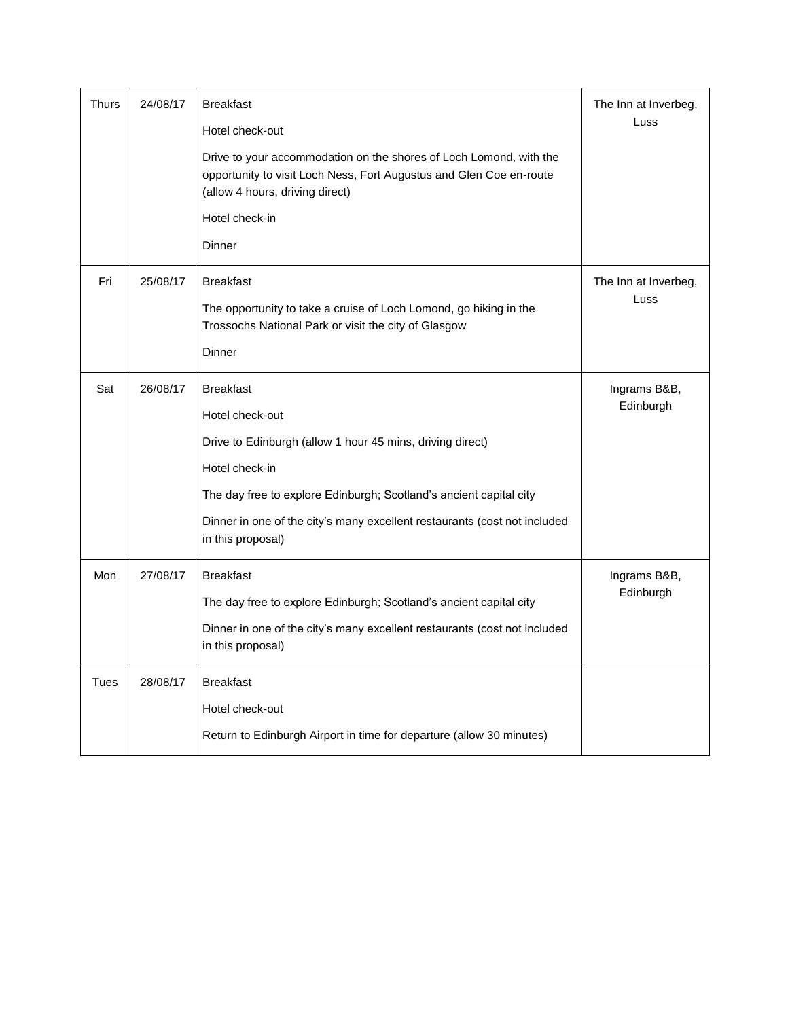| <b>Thurs</b> | 24/08/17 | <b>Breakfast</b><br>Hotel check-out<br>Drive to your accommodation on the shores of Loch Lomond, with the<br>opportunity to visit Loch Ness, Fort Augustus and Glen Coe en-route<br>(allow 4 hours, driving direct)<br>Hotel check-in<br>Dinner                                            | The Inn at Inverbeg,<br>Luss |
|--------------|----------|--------------------------------------------------------------------------------------------------------------------------------------------------------------------------------------------------------------------------------------------------------------------------------------------|------------------------------|
| Fri          | 25/08/17 | <b>Breakfast</b><br>The opportunity to take a cruise of Loch Lomond, go hiking in the<br>Trossochs National Park or visit the city of Glasgow<br>Dinner                                                                                                                                    | The Inn at Inverbeg,<br>Luss |
| Sat          | 26/08/17 | <b>Breakfast</b><br>Hotel check-out<br>Drive to Edinburgh (allow 1 hour 45 mins, driving direct)<br>Hotel check-in<br>The day free to explore Edinburgh; Scotland's ancient capital city<br>Dinner in one of the city's many excellent restaurants (cost not included<br>in this proposal) | Ingrams B&B,<br>Edinburgh    |
| Mon          | 27/08/17 | <b>Breakfast</b><br>The day free to explore Edinburgh; Scotland's ancient capital city<br>Dinner in one of the city's many excellent restaurants (cost not included<br>in this proposal)                                                                                                   | Ingrams B&B,<br>Edinburgh    |
| <b>Tues</b>  | 28/08/17 | <b>Breakfast</b><br>Hotel check-out<br>Return to Edinburgh Airport in time for departure (allow 30 minutes)                                                                                                                                                                                |                              |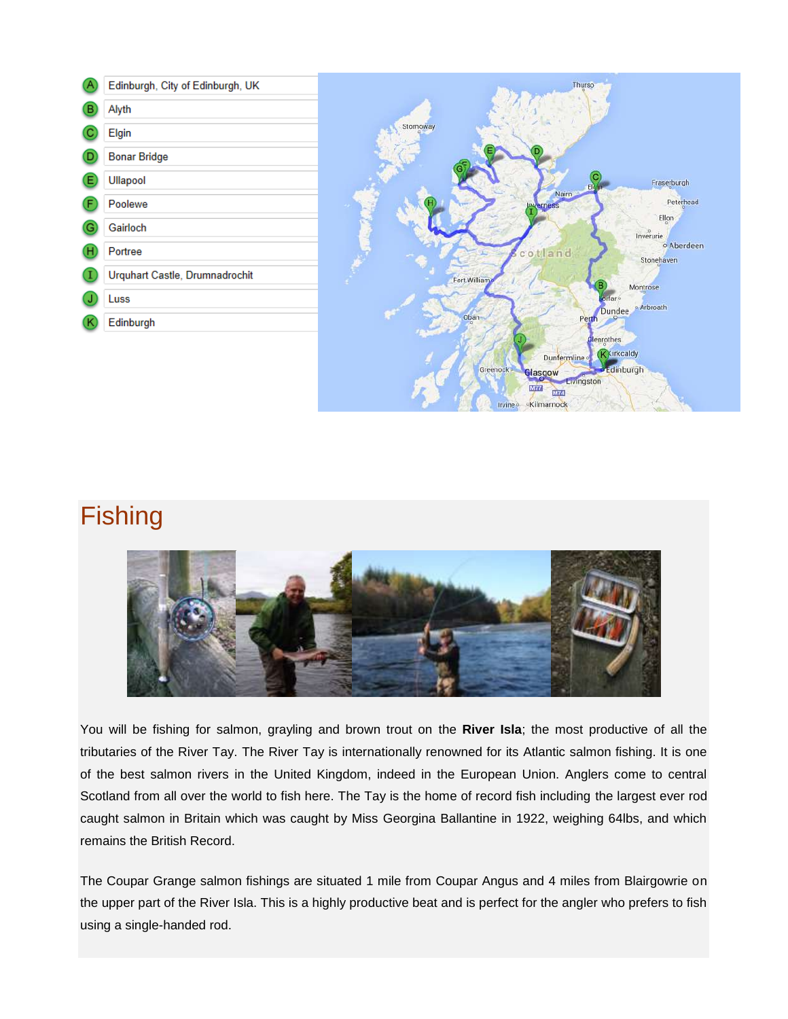|    | Edinburgh, City of Edinburgh, UK |
|----|----------------------------------|
| B  | Alyth                            |
|    | Elgin                            |
|    | <b>Bonar Bridge</b>              |
| E. | Ullapool                         |
|    | Poolewe                          |
| G  | Gairloch                         |
|    | Portree                          |
|    | Urquhart Castle, Drumnadrochit   |
|    | Luss                             |
| κ  | Edinburgh                        |
|    |                                  |



## **Fishing**



You will be fishing for salmon, grayling and brown trout on the **River Isla**; the most productive of all the tributaries of the River Tay. The River Tay is internationally renowned for its Atlantic salmon fishing. It is one of the best salmon rivers in the United Kingdom, indeed in the European Union. Anglers come to central Scotland from all over the world to fish here. The Tay is the home of record fish including the largest ever rod caught salmon in Britain which was caught by Miss Georgina Ballantine in 1922, weighing 64lbs, and which remains the British Record.

The Coupar Grange salmon fishings are situated 1 mile from Coupar Angus and 4 miles from Blairgowrie on the upper part of the River Isla. This is a highly productive beat and is perfect for the angler who prefers to fish using a single-handed rod.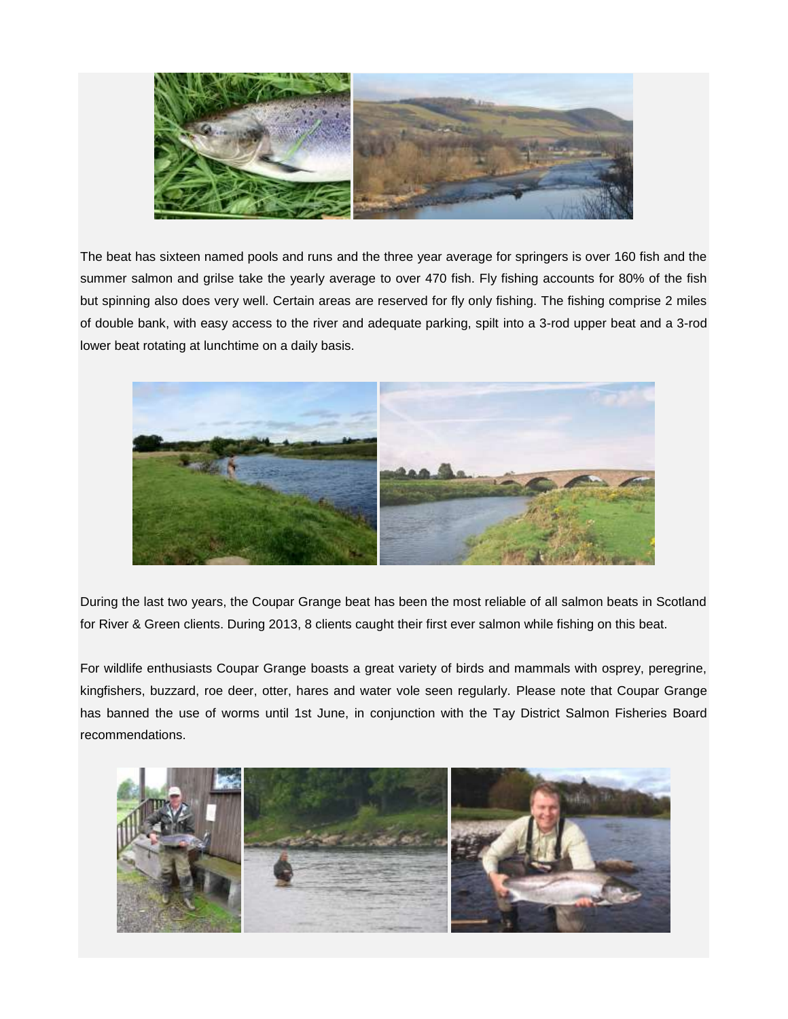

The beat has sixteen named pools and runs and the three year average for springers is over 160 fish and the summer salmon and grilse take the yearly average to over 470 fish. Fly fishing accounts for 80% of the fish but spinning also does very well. Certain areas are reserved for fly only fishing. The fishing comprise 2 miles of double bank, with easy access to the river and adequate parking, spilt into a 3-rod upper beat and a 3-rod lower beat rotating at lunchtime on a daily basis.



During the last two years, the Coupar Grange beat has been the most reliable of all salmon beats in Scotland for River & Green clients. During 2013, 8 clients caught their first ever salmon while fishing on this beat.

For wildlife enthusiasts Coupar Grange boasts a great variety of birds and mammals with osprey, peregrine, kingfishers, buzzard, roe deer, otter, hares and water vole seen regularly. Please note that Coupar Grange has banned the use of worms until 1st June, in conjunction with the Tay District Salmon Fisheries Board recommendations.

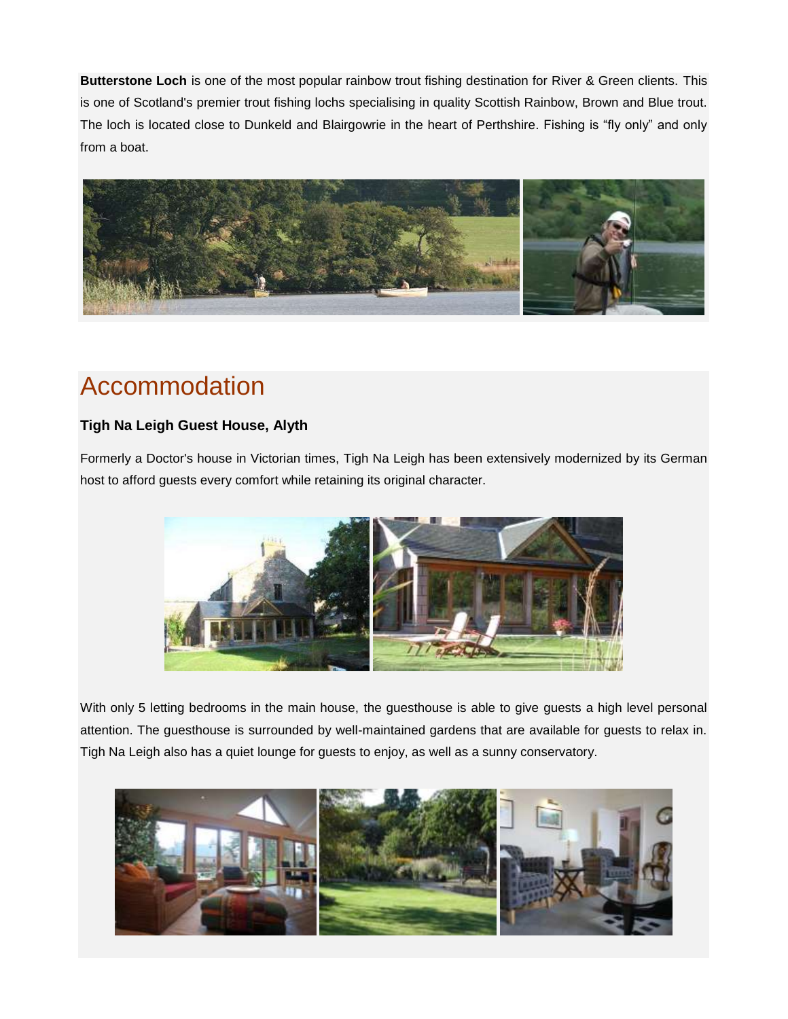**Butterstone Loch** is one of the most popular rainbow trout fishing destination for River & Green clients. This is one of Scotland's premier trout fishing lochs specialising in quality Scottish Rainbow, Brown and Blue trout. The loch is located close to Dunkeld and Blairgowrie in the heart of Perthshire. Fishing is "fly only" and only from a boat.



# Accommodation

### **Tigh Na Leigh Guest House, Alyth**

Formerly a Doctor's house in Victorian times, Tigh Na Leigh has been extensively modernized by its German host to afford guests every comfort while retaining its original character.



With only 5 letting bedrooms in the main house, the guesthouse is able to give guests a high level personal attention. The guesthouse is surrounded by well-maintained gardens that are available for guests to relax in. Tigh Na Leigh also has a quiet lounge for guests to enjoy, as well as a sunny conservatory.

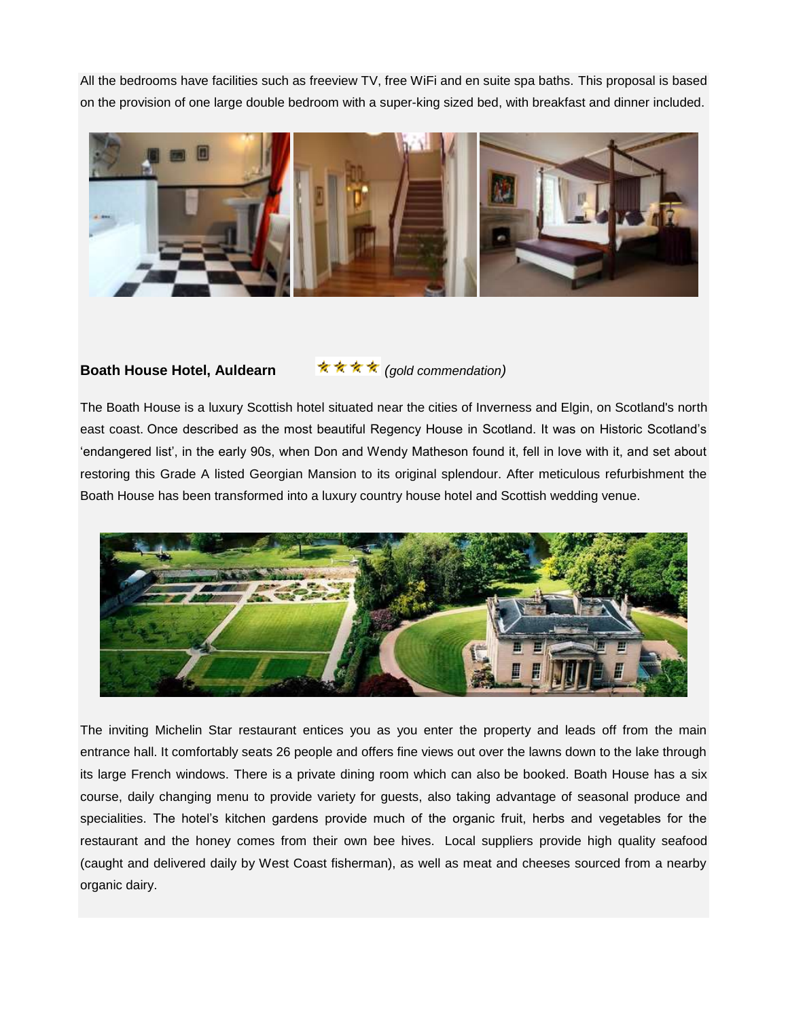All the bedrooms have facilities such as freeview TV, free WiFi and en suite spa baths. This proposal is based on the provision of one large double bedroom with a super-king sized bed, with breakfast and dinner included.



#### Boath House Hotel, Auldearn **<b>oral 文文文** (gold commendation)

The Boath House is a luxury [Scottish hotel](http://www.boath-house.com/about-us) situated near the cities of Inverness and Elgin, on Scotland's north east coast. Once described as the most beautiful Regency House in Scotland. It was on Historic Scotland's 'endangered list', in the early 90s, when Don and Wendy Matheson found it, fell in love with it, and set about restoring this Grade A listed Georgian Mansion to its original splendour. After meticulous refurbishment the Boath House has been transformed into a [luxury country house hotel](http://www.boath-house.com/accommodation) and [Scottish wedding venue.](http://www.boath-house.com/weddings)



The inviting Michelin Star restaurant entices you as you enter the property and leads off from the main entrance hall. It comfortably seats 26 people and offers fine views out over the lawns down to the lake through its large French windows. There is a private dining room which can also be booked. Boath House has a six course, [daily changing menu](http://www.boath-house.com/restaurant/dinner-menu) to provide variety for guests, also taking advantage of [seasonal produce](http://www.boath-house.com/the-gardens) and specialities. The hotel's kitchen gardens provide much of the organic fruit, herbs and vegetables for the restaurant and the honey comes from their own bee hives. Local suppliers provide high quality seafood (caught and delivered daily by West Coast fisherman), as well as meat and cheeses sourced from a nearby organic dairy.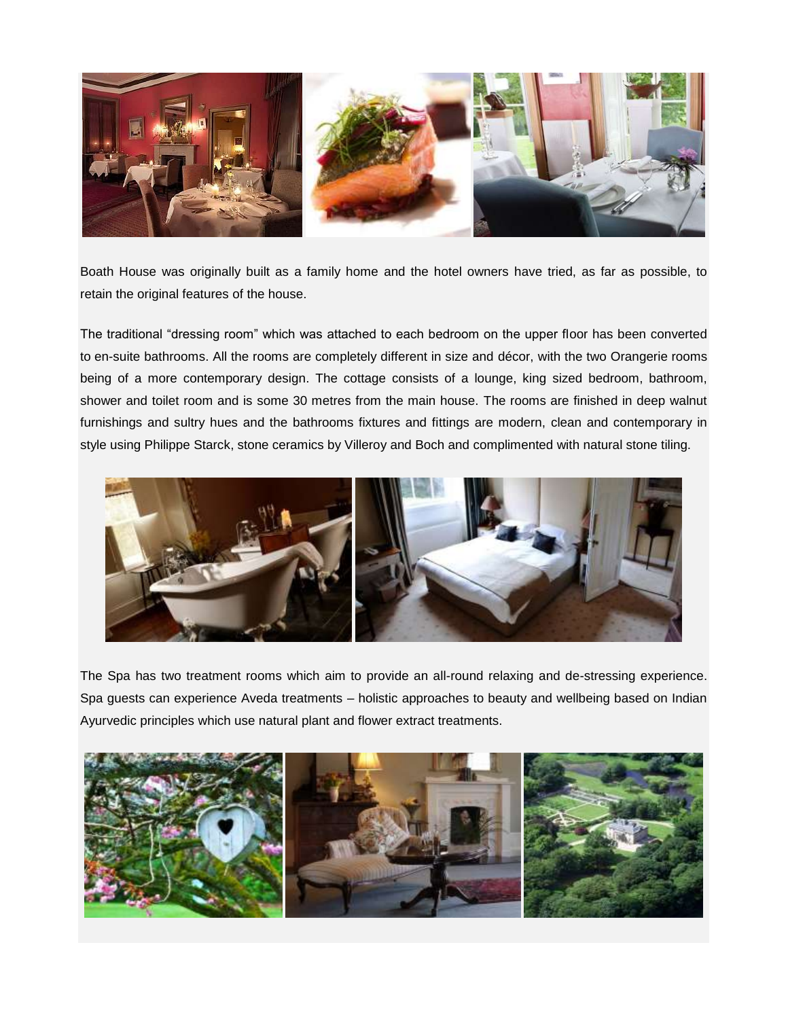

Boath House was originally built as a family home and the hotel owners have tried, as far as possible, to retain the original features of the house.

The traditional "dressing room" which was attached to each bedroom on the upper floor has been converted to en-suite bathrooms. All the rooms are completely different in size and décor, with the two Orangerie rooms being of a more contemporary design. The cottage consists of a lounge, king sized bedroom, bathroom, shower and toilet room and is some 30 metres from the main house. The rooms are finished in deep walnut furnishings and sultry hues and the bathrooms fixtures and fittings are modern, clean and contemporary in style using Philippe Starck, stone ceramics by Villeroy and Boch and complimented with natural stone tiling.



The Spa has two treatment rooms which aim to provide an all-round relaxing and de-stressing experience. Spa guests can experience Aveda treatments – holistic approaches to beauty and wellbeing based on Indian Ayurvedic principles which use natural plant and flower extract treatments.

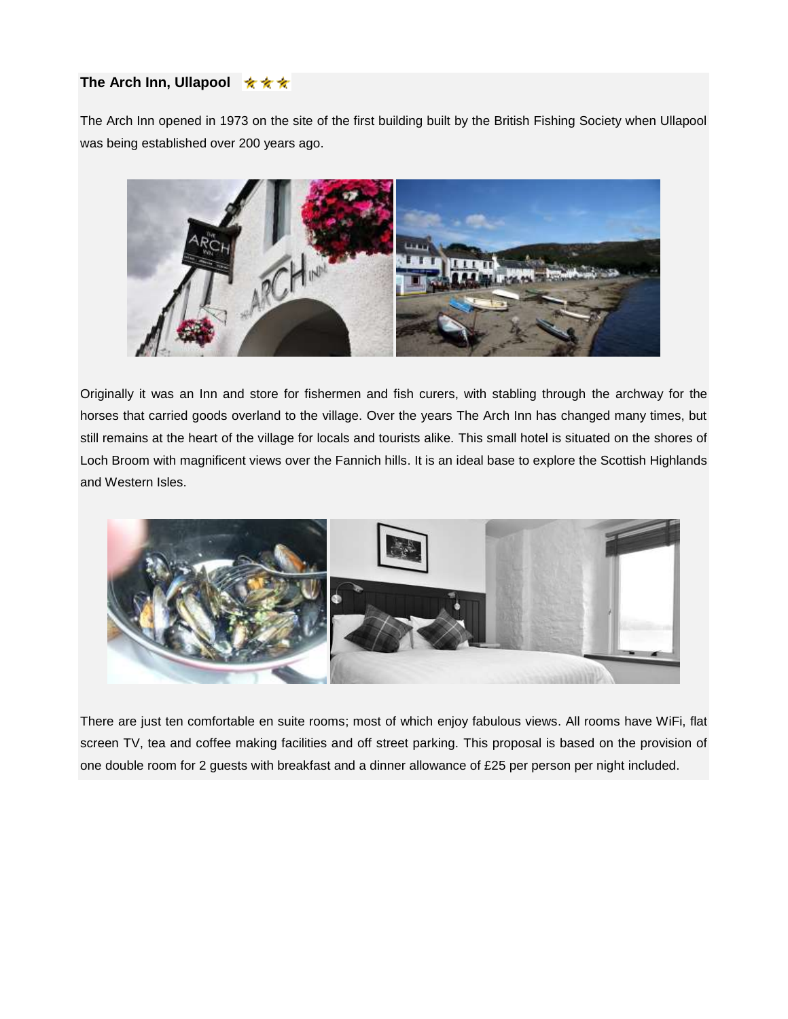#### **The Arch Inn, Ullapool ★ ★ ★**

The Arch Inn opened in 1973 on the site of the first building built by the British Fishing Society when Ullapool was being established over 200 years ago.



Originally it was an Inn and store for fishermen and fish curers, with stabling through the archway for the horses that carried goods overland to the village. Over the years The Arch Inn has changed many times, but still remains at the heart of the village for locals and tourists alike. This small hotel is situated on the shores of Loch Broom with magnificent views over the Fannich hills. It is an ideal base to explore the Scottish Highlands and Western Isles.



There are just ten comfortable en suite rooms; most of which enjoy fabulous views. All rooms have WiFi, flat screen TV, tea and coffee making facilities and off street parking. This proposal is based on the provision of one double room for 2 guests with breakfast and a dinner allowance of £25 per person per night included.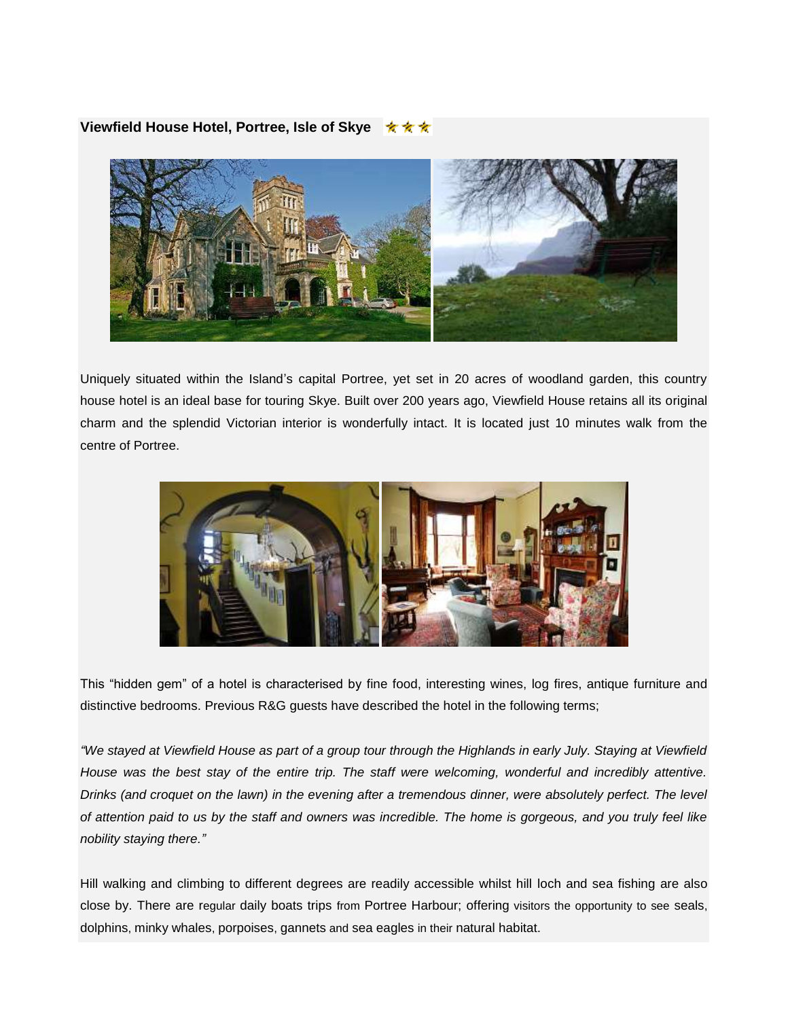#### **Viewfield House Hotel, Portree, Isle of Skye**



Uniquely situated within the Island's capital Portree, yet set in 20 acres of woodland garden, this country house hotel is an ideal base for touring Skye. Built over 200 years ago, Viewfield House retains all its original charm and the splendid Victorian interior is wonderfully intact. It is located just 10 minutes walk from the centre of Portree.



This "hidden gem" of a hotel is characterised by fine food, interesting wines, log fires, antique furniture and distinctive bedrooms. Previous R&G guests have described the hotel in the following terms;

*"We stayed at Viewfield House as part of a group tour through the Highlands in early July. Staying at Viewfield House was the best stay of the entire trip. The staff were welcoming, wonderful and incredibly attentive. Drinks (and croquet on the lawn) in the evening after a tremendous dinner, were absolutely perfect. The level of attention paid to us by the staff and owners was incredible. The home is gorgeous, and you truly feel like nobility staying there."*

Hill walking and climbing to different degrees are readily accessible whilst hill loch and sea fishing are also close by. There are regular daily boats trips from Portree Harbour; offering visitors the opportunity to see seals, dolphins, minky whales, porpoises, gannets and sea eagles in their natural habitat.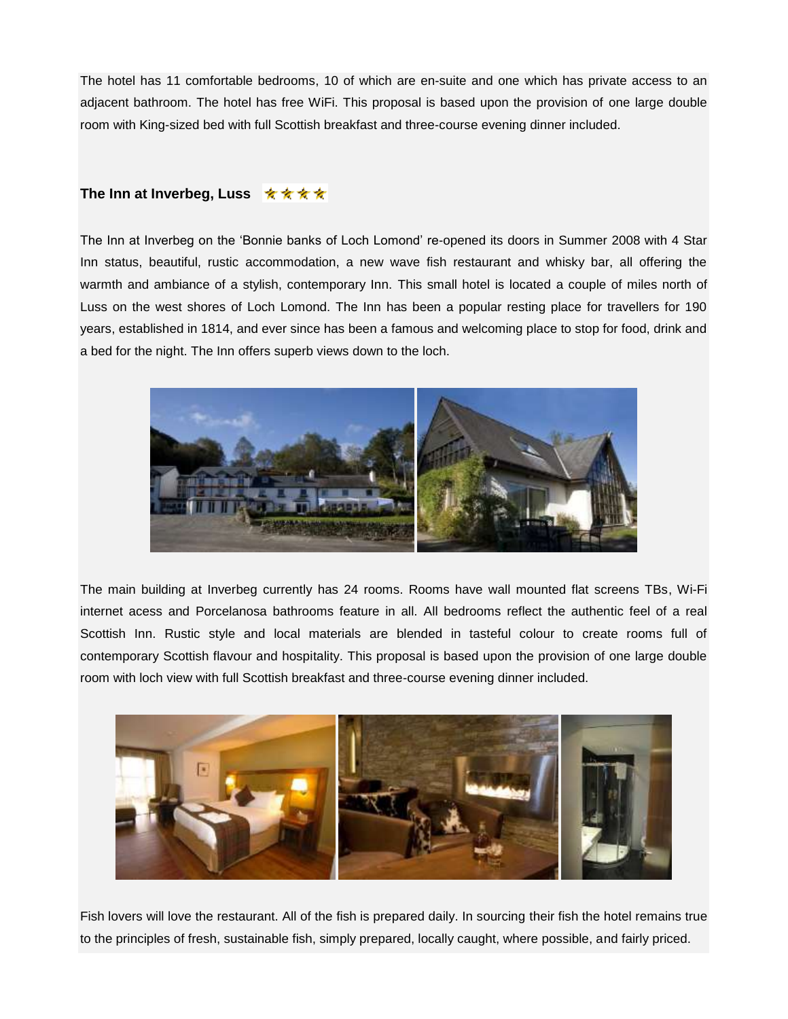The hotel has 11 comfortable bedrooms, 10 of which are en-suite and one which has private access to an adjacent bathroom. The hotel has free WiFi. This proposal is based upon the provision of one large double room with King-sized bed with full Scottish breakfast and three-course evening dinner included.

#### **The Inn at Inverbeg, Luss ★★★★**

The Inn at Inverbeg on the 'Bonnie banks of Loch Lomond' re-opened its doors in Summer 2008 with 4 Star Inn status, beautiful, rustic accommodation, a new wave fish restaurant and whisky bar, all offering the warmth and ambiance of a stylish, contemporary Inn. This small hotel is located a couple of miles north of Luss on the west shores of Loch Lomond. The Inn has been a popular resting place for travellers for 190 years, established in 1814, and ever since has been a famous and welcoming place to stop for food, drink and a bed for the night. The Inn offers superb views down to the loch.



The main building at Inverbeg currently has 24 rooms. Rooms have wall mounted flat screens TBs, Wi-Fi internet acess and Porcelanosa bathrooms feature in all. All bedrooms reflect the authentic feel of a real Scottish Inn. Rustic style and local materials are blended in tasteful colour to create rooms full of contemporary Scottish flavour and hospitality. This proposal is based upon the provision of one large double room with loch view with full Scottish breakfast and three-course evening dinner included.



Fish lovers will love the restaurant. All of the fish is prepared daily. In sourcing their fish the hotel remains true to the principles of fresh, sustainable fish, simply prepared, locally caught, where possible, and fairly priced.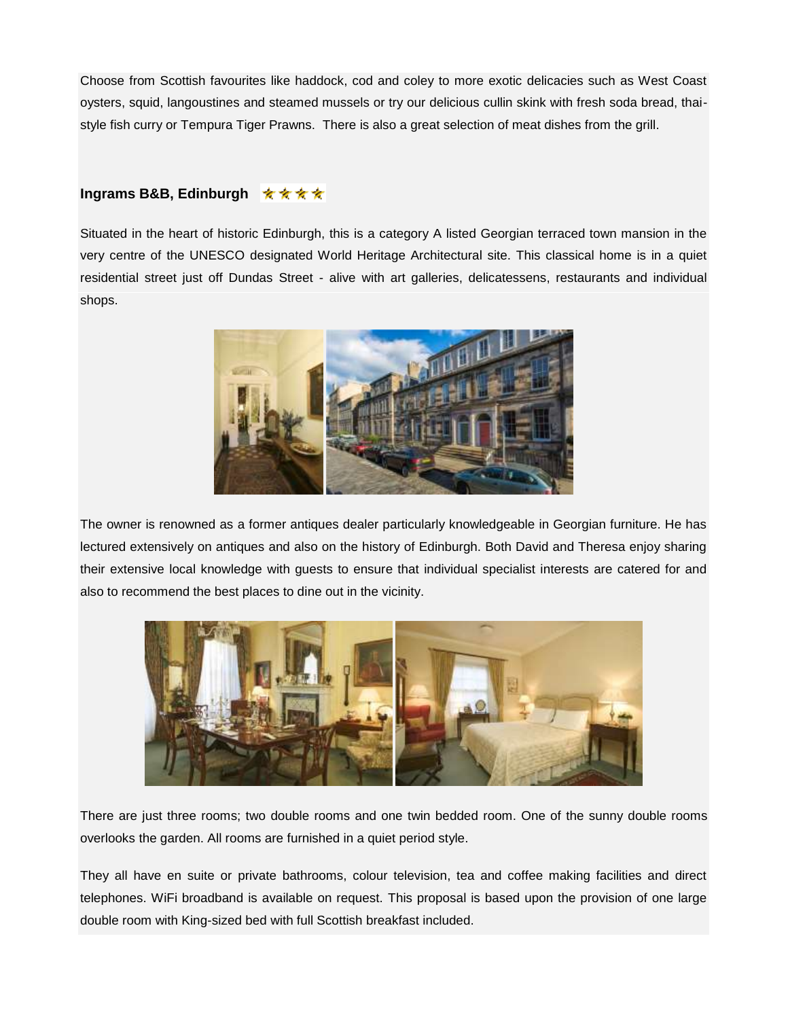Choose from Scottish favourites like haddock, cod and coley to more exotic delicacies such as West Coast oysters, squid, langoustines and steamed mussels or try our delicious cullin skink with fresh soda bread, thaistyle fish curry or Tempura Tiger Prawns. There is also a great selection of meat dishes from the grill.

#### **Ingrams B&B, Edinburgh** ★★★★

Situated in the heart of historic Edinburgh, this is a category A listed Georgian terraced town mansion in the very centre of the UNESCO designated World Heritage Architectural site. This classical home is in a quiet residential street just off Dundas Street - alive with art galleries, delicatessens, restaurants and individual shops.



The owner is renowned as a former antiques dealer particularly knowledgeable in Georgian furniture. He has lectured extensively on antiques and also on the history of Edinburgh. Both David and Theresa enjoy sharing their extensive local knowledge with guests to ensure that individual specialist interests are catered for and also to recommend the best places to dine out in the vicinity.



There are just three rooms; two double rooms and one twin bedded room. One of the sunny double rooms overlooks the garden. All rooms are furnished in a quiet period style.

They all have en suite or private bathrooms, colour television, tea and coffee making facilities and direct telephones. WiFi broadband is available on request. This proposal is based upon the provision of one large double room with King-sized bed with full Scottish breakfast included.